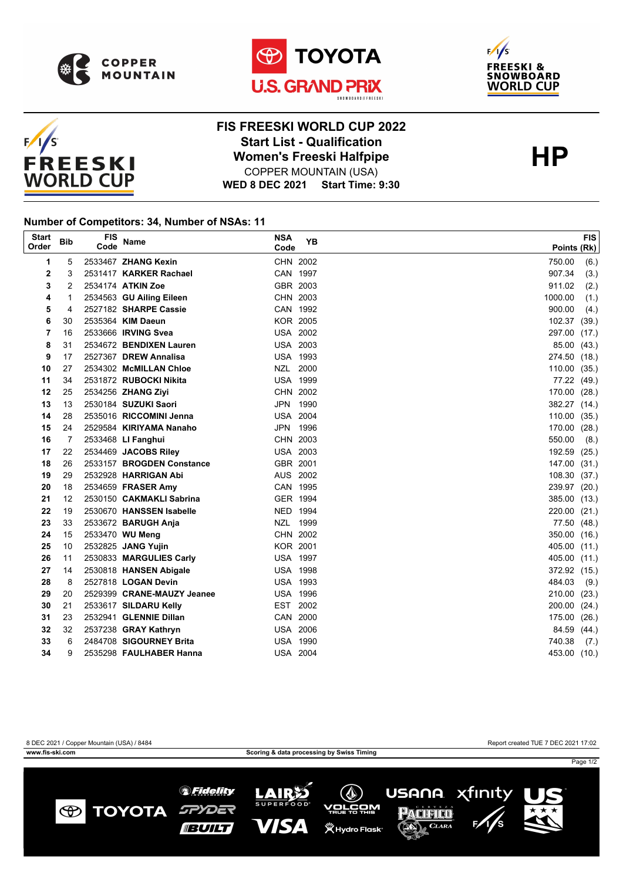







## **WED 8 DEC 2021 Start Time: 9:30 FIS FREESKI WORLD CUP 2022 Start List - Qualification<br>
Women's Freeski Halfpipe<br>
COPPER MOUNTAIN (USA)** COPPER MOUNTAIN (USA)

## **Number of Competitors: 34, Number of NSAs: 11**

| <b>Start</b><br>Order | <b>Bib</b> | <b>FIS</b><br>Code | <b>Name</b>                | <b>NSA</b><br>Code | <b>YB</b> | <b>FIS</b><br>Points (Rk) |
|-----------------------|------------|--------------------|----------------------------|--------------------|-----------|---------------------------|
| 1                     | 5          |                    | 2533467 ZHANG Kexin        | CHN 2002           |           | 750.00<br>(6.)            |
| 2                     | 3          |                    | 2531417 KARKER Rachael     | CAN 1997           |           | 907.34<br>(3.)            |
| 3                     | 2          |                    | 2534174 ATKIN Zoe          | GBR 2003           |           | 911.02<br>(2.)            |
| 4                     | 1          |                    | 2534563 GU Ailing Eileen   | CHN 2003           |           | 1000.00<br>(1.)           |
| 5                     | 4          |                    | 2527182 SHARPE Cassie      | CAN 1992           |           | 900.00<br>(4.)            |
| 6                     | 30         |                    | 2535364 KIM Daeun          | <b>KOR 2005</b>    |           | 102.37<br>(39.)           |
| 7                     | 16         |                    | 2533666 <b>IRVING Svea</b> | <b>USA 2002</b>    |           | 297.00<br>(17.)           |
| 8                     | 31         |                    | 2534672 BENDIXEN Lauren    | <b>USA 2003</b>    |           | 85.00<br>(43.)            |
| 9                     | 17         |                    | 2527367 DREW Annalisa      | <b>USA 1993</b>    |           | 274.50<br>(18.)           |
| 10                    | 27         |                    | 2534302 McMILLAN Chloe     | NZL 2000           |           | 110.00<br>(35.)           |
| 11                    | 34         |                    | 2531872 RUBOCKI Nikita     | <b>USA 1999</b>    |           | 77.22 (49.)               |
| 12                    | 25         |                    | 2534256 ZHANG Ziyi         | CHN 2002           |           | 170.00<br>(28.)           |
| 13                    | 13         |                    | 2530184 SUZUKI Saori       | JPN 1990           |           | 382.27 (14.)              |
| 14                    | 28         |                    | 2535016 RICCOMINI Jenna    | <b>USA 2004</b>    |           | 110.00<br>(35.)           |
| 15                    | 24         |                    | 2529584 KIRIYAMA Nanaho    | JPN 1996           |           | 170.00 (28.)              |
| 16                    | 7          |                    | 2533468 LI Fanghui         | CHN 2003           |           | 550.00<br>(8.)            |
| 17                    | 22         |                    | 2534469 JACOBS Riley       | USA 2003           |           | 192.59 (25.)              |
| 18                    | 26         |                    | 2533157 BROGDEN Constance  | GBR 2001           |           | 147.00<br>(31.)           |
| 19                    | 29         |                    | 2532928 HARRIGAN Abi       | AUS 2002           |           | 108.30<br>(37.)           |
| 20                    | 18         |                    | 2534659 FRASER Amy         | CAN 1995           |           | 239.97 (20.)              |
| 21                    | 12         |                    | 2530150 CAKMAKLI Sabrina   | GER 1994           |           | 385.00<br>(13.)           |
| 22                    | 19         |                    | 2530670 HANSSEN Isabelle   | NED 1994           |           | 220.00<br>(21.)           |
| 23                    | 33         |                    | 2533672 BARUGH Anja        | NZL 1999           |           | 77.50<br>(48.)            |
| 24                    | 15         |                    | 2533470 WU Meng            | CHN 2002           |           | 350.00<br>(16.)           |
| 25                    | 10         |                    | 2532825 JANG Yujin         | <b>KOR 2001</b>    |           | 405.00<br>(11.)           |
| 26                    | 11         |                    | 2530833 MARGULIES Carly    | <b>USA 1997</b>    |           | 405.00<br>(11.)           |
| 27                    | 14         |                    | 2530818 HANSEN Abigale     | <b>USA 1998</b>    |           | 372.92 (15.)              |
| 28                    | 8          |                    | 2527818 LOGAN Devin        | <b>USA 1993</b>    |           | 484.03<br>(9.)            |
| 29                    | 20         |                    | 2529399 CRANE-MAUZY Jeanee | <b>USA 1996</b>    |           | 210.00<br>(23.)           |
| 30                    | 21         |                    | 2533617 SILDARU Kelly      | EST                | 2002      | 200.00<br>(24.)           |
| 31                    | 23         |                    | 2532941 GLENNIE Dillan     | CAN 2000           |           | 175.00<br>(26.)           |
| 32                    | 32         |                    | 2537238 GRAY Kathryn       | <b>USA 2006</b>    |           | 84.59<br>(44.)            |
| 33                    | 6          |                    | 2484708 SIGOURNEY Brita    | <b>USA 1990</b>    |           | 740.38<br>(7.)            |
| 34                    | 9          |                    | 2535298 FAULHABER Hanna    | <b>USA 2004</b>    |           | 453.00 (10.)              |